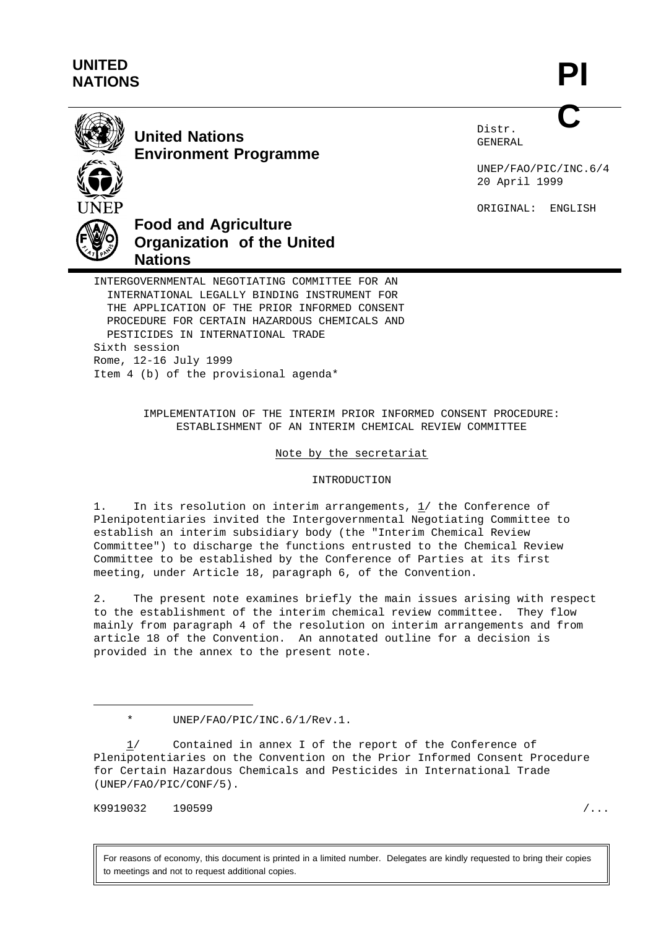## **UNITED NATIONS**

**PI C**



**United Nations Environment Programme** Distr. GENERAL

UNEP/FAO/PIC/INC.6/4 20 April 1999

ORIGINAL: ENGLISH



# **Food and Agriculture Organization of the United Nations**

INTERGOVERNMENTAL NEGOTIATING COMMITTEE FOR AN INTERNATIONAL LEGALLY BINDING INSTRUMENT FOR THE APPLICATION OF THE PRIOR INFORMED CONSENT PROCEDURE FOR CERTAIN HAZARDOUS CHEMICALS AND PESTICIDES IN INTERNATIONAL TRADE Sixth session Rome, 12-16 July 1999 Item 4 (b) of the provisional agenda\*

> IMPLEMENTATION OF THE INTERIM PRIOR INFORMED CONSENT PROCEDURE: ESTABLISHMENT OF AN INTERIM CHEMICAL REVIEW COMMITTEE

> > Note by the secretariat

#### INTRODUCTION

1. In its resolution on interim arrangements, 1/ the Conference of Plenipotentiaries invited the Intergovernmental Negotiating Committee to establish an interim subsidiary body (the "Interim Chemical Review Committee") to discharge the functions entrusted to the Chemical Review Committee to be established by the Conference of Parties at its first meeting, under Article 18, paragraph 6, of the Convention.

2. The present note examines briefly the main issues arising with respect to the establishment of the interim chemical review committee. They flow mainly from paragraph 4 of the resolution on interim arrangements and from article 18 of the Convention. An annotated outline for a decision is provided in the annex to the present note.

K9919032 190599 /...

For reasons of economy, this document is printed in a limited number. Delegates are kindly requested to bring their copies to meetings and not to request additional copies.

<sup>\*</sup> UNEP/FAO/PIC/INC.6/1/Rev.1.

<sup>1/</sup> Contained in annex I of the report of the Conference of Plenipotentiaries on the Convention on the Prior Informed Consent Procedure for Certain Hazardous Chemicals and Pesticides in International Trade (UNEP/FAO/PIC/CONF/5).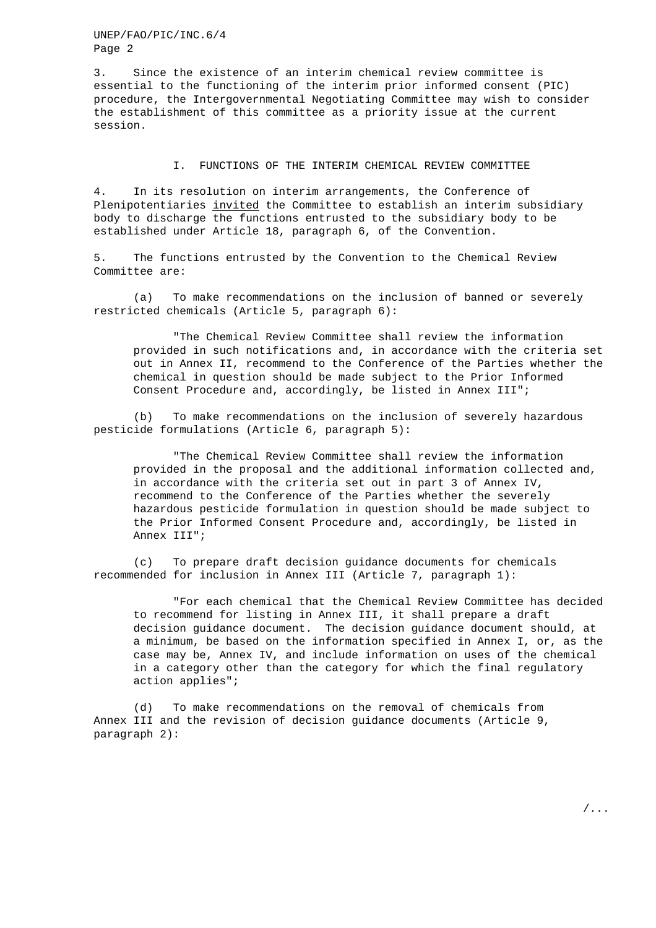UNEP/FAO/PIC/INC.6/4 Page 2

3. Since the existence of an interim chemical review committee is essential to the functioning of the interim prior informed consent (PIC) procedure, the Intergovernmental Negotiating Committee may wish to consider the establishment of this committee as a priority issue at the current session.

#### I. FUNCTIONS OF THE INTERIM CHEMICAL REVIEW COMMITTEE

4. In its resolution on interim arrangements, the Conference of Plenipotentiaries invited the Committee to establish an interim subsidiary body to discharge the functions entrusted to the subsidiary body to be established under Article 18, paragraph 6, of the Convention.

5. The functions entrusted by the Convention to the Chemical Review Committee are:

(a) To make recommendations on the inclusion of banned or severely restricted chemicals (Article 5, paragraph 6):

"The Chemical Review Committee shall review the information provided in such notifications and, in accordance with the criteria set out in Annex II, recommend to the Conference of the Parties whether the chemical in question should be made subject to the Prior Informed Consent Procedure and, accordingly, be listed in Annex III";

(b) To make recommendations on the inclusion of severely hazardous pesticide formulations (Article 6, paragraph 5):

"The Chemical Review Committee shall review the information provided in the proposal and the additional information collected and, in accordance with the criteria set out in part 3 of Annex IV, recommend to the Conference of the Parties whether the severely hazardous pesticide formulation in question should be made subject to the Prior Informed Consent Procedure and, accordingly, be listed in Annex III";

(c) To prepare draft decision guidance documents for chemicals recommended for inclusion in Annex III (Article 7, paragraph 1):

"For each chemical that the Chemical Review Committee has decided to recommend for listing in Annex III, it shall prepare a draft decision guidance document. The decision guidance document should, at a minimum, be based on the information specified in Annex I, or, as the case may be, Annex IV, and include information on uses of the chemical in a category other than the category for which the final regulatory action applies";

(d) To make recommendations on the removal of chemicals from Annex III and the revision of decision guidance documents (Article 9, paragraph 2):

/...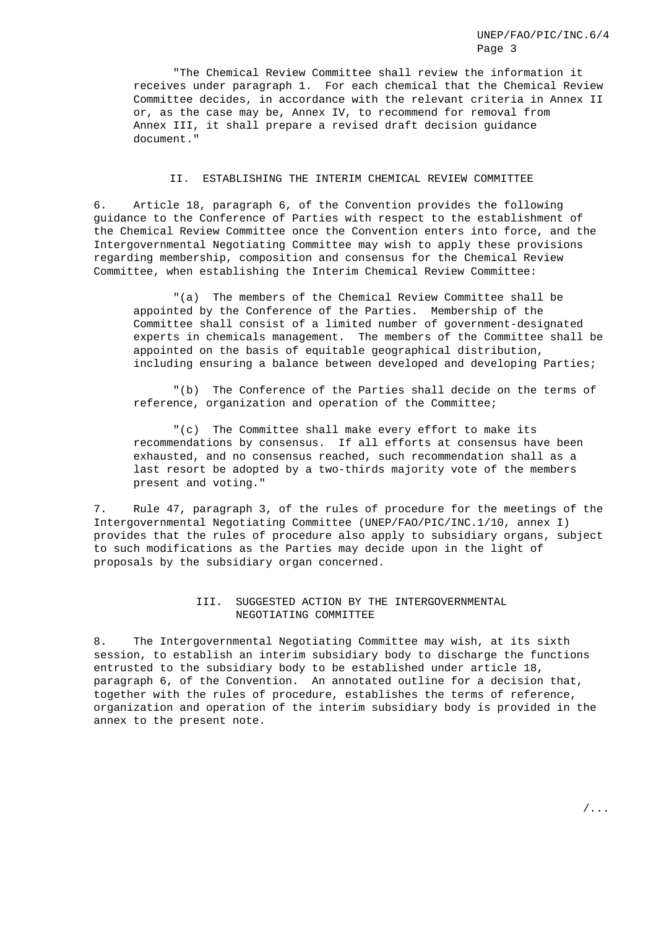"The Chemical Review Committee shall review the information it receives under paragraph 1. For each chemical that the Chemical Review Committee decides, in accordance with the relevant criteria in Annex II or, as the case may be, Annex IV, to recommend for removal from Annex III, it shall prepare a revised draft decision guidance document."

### II. ESTABLISHING THE INTERIM CHEMICAL REVIEW COMMITTEE

6. Article 18, paragraph 6, of the Convention provides the following guidance to the Conference of Parties with respect to the establishment of the Chemical Review Committee once the Convention enters into force, and the Intergovernmental Negotiating Committee may wish to apply these provisions regarding membership, composition and consensus for the Chemical Review Committee, when establishing the Interim Chemical Review Committee:

"(a) The members of the Chemical Review Committee shall be appointed by the Conference of the Parties. Membership of the Committee shall consist of a limited number of government-designated experts in chemicals management. The members of the Committee shall be appointed on the basis of equitable geographical distribution, including ensuring a balance between developed and developing Parties;

"(b) The Conference of the Parties shall decide on the terms of reference, organization and operation of the Committee;

"(c) The Committee shall make every effort to make its recommendations by consensus. If all efforts at consensus have been exhausted, and no consensus reached, such recommendation shall as a last resort be adopted by a two-thirds majority vote of the members present and voting."

7. Rule 47, paragraph 3, of the rules of procedure for the meetings of the Intergovernmental Negotiating Committee (UNEP/FAO/PIC/INC.1/10, annex I) provides that the rules of procedure also apply to subsidiary organs, subject to such modifications as the Parties may decide upon in the light of proposals by the subsidiary organ concerned.

### III. SUGGESTED ACTION BY THE INTERGOVERNMENTAL NEGOTIATING COMMITTEE

8. The Intergovernmental Negotiating Committee may wish, at its sixth session, to establish an interim subsidiary body to discharge the functions entrusted to the subsidiary body to be established under article 18, paragraph 6, of the Convention. An annotated outline for a decision that, together with the rules of procedure, establishes the terms of reference, organization and operation of the interim subsidiary body is provided in the annex to the present note.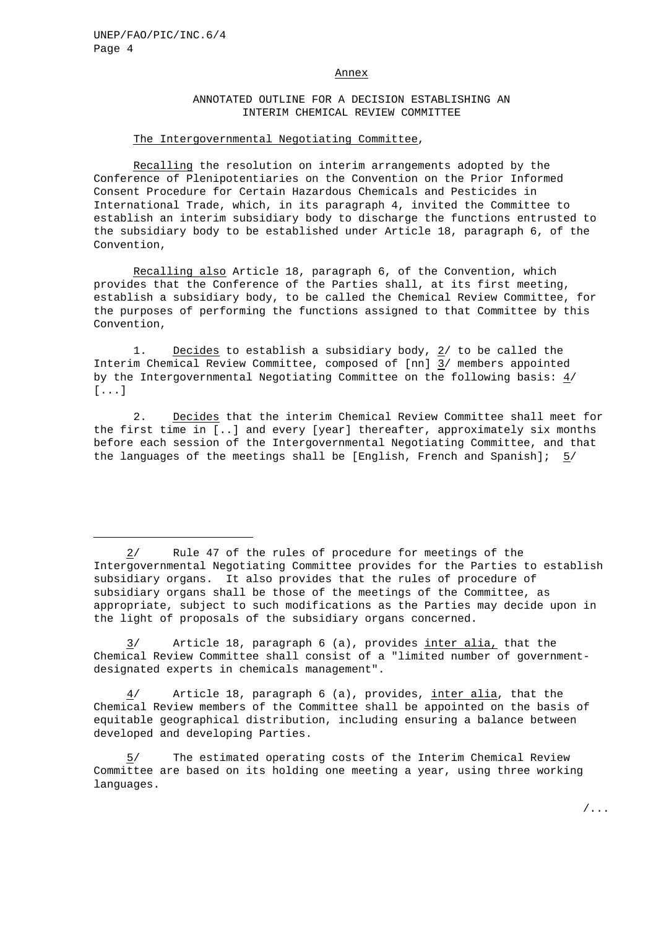#### Annex

#### ANNOTATED OUTLINE FOR A DECISION ESTABLISHING AN INTERIM CHEMICAL REVIEW COMMITTEE

#### The Intergovernmental Negotiating Committee,

Recalling the resolution on interim arrangements adopted by the Conference of Plenipotentiaries on the Convention on the Prior Informed Consent Procedure for Certain Hazardous Chemicals and Pesticides in International Trade, which, in its paragraph 4, invited the Committee to establish an interim subsidiary body to discharge the functions entrusted to the subsidiary body to be established under Article 18, paragraph 6, of the Convention,

Recalling also Article 18, paragraph 6, of the Convention, which provides that the Conference of the Parties shall, at its first meeting, establish a subsidiary body, to be called the Chemical Review Committee, for the purposes of performing the functions assigned to that Committee by this Convention,

1. Decides to establish a subsidiary body, 2/ to be called the Interim Chemical Review Committee, composed of [nn] 3/ members appointed by the Intergovernmental Negotiating Committee on the following basis: 4/ [...]

2. Decides that the interim Chemical Review Committee shall meet for the first time in [..] and every [year] thereafter, approximately six months before each session of the Intergovernmental Negotiating Committee, and that the languages of the meetings shall be [English, French and Spanish]; 5/

3/ Article 18, paragraph 6 (a), provides inter alia, that the Chemical Review Committee shall consist of a "limited number of governmentdesignated experts in chemicals management".

4/ Article 18, paragraph 6 (a), provides, inter alia, that the Chemical Review members of the Committee shall be appointed on the basis of equitable geographical distribution, including ensuring a balance between developed and developing Parties.

5/ The estimated operating costs of the Interim Chemical Review Committee are based on its holding one meeting a year, using three working languages.

<sup>2/</sup> Rule 47 of the rules of procedure for meetings of the Intergovernmental Negotiating Committee provides for the Parties to establish subsidiary organs. It also provides that the rules of procedure of subsidiary organs shall be those of the meetings of the Committee, as appropriate, subject to such modifications as the Parties may decide upon in the light of proposals of the subsidiary organs concerned.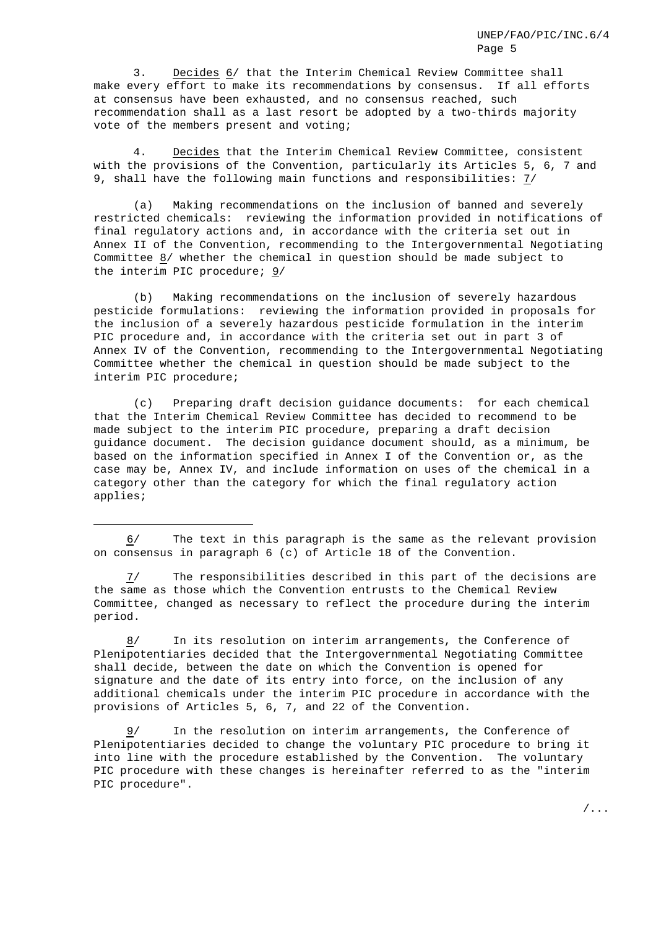3. Decides 6/ that the Interim Chemical Review Committee shall make every effort to make its recommendations by consensus. If all efforts at consensus have been exhausted, and no consensus reached, such recommendation shall as a last resort be adopted by a two-thirds majority vote of the members present and voting;

4. Decides that the Interim Chemical Review Committee, consistent with the provisions of the Convention, particularly its Articles 5, 6, 7 and 9, shall have the following main functions and responsibilities: 7/

(a) Making recommendations on the inclusion of banned and severely restricted chemicals: reviewing the information provided in notifications of final regulatory actions and, in accordance with the criteria set out in Annex II of the Convention, recommending to the Intergovernmental Negotiating Committee 8/ whether the chemical in question should be made subject to the interim PIC procedure;  $9/$ 

(b) Making recommendations on the inclusion of severely hazardous pesticide formulations: reviewing the information provided in proposals for the inclusion of a severely hazardous pesticide formulation in the interim PIC procedure and, in accordance with the criteria set out in part 3 of Annex IV of the Convention, recommending to the Intergovernmental Negotiating Committee whether the chemical in question should be made subject to the interim PIC procedure;

(c) Preparing draft decision guidance documents: for each chemical that the Interim Chemical Review Committee has decided to recommend to be made subject to the interim PIC procedure, preparing a draft decision guidance document. The decision guidance document should, as a minimum, be based on the information specified in Annex I of the Convention or, as the case may be, Annex IV, and include information on uses of the chemical in a category other than the category for which the final regulatory action applies;

6/ The text in this paragraph is the same as the relevant provision on consensus in paragraph 6 (c) of Article 18 of the Convention.

7/ The responsibilities described in this part of the decisions are the same as those which the Convention entrusts to the Chemical Review Committee, changed as necessary to reflect the procedure during the interim period.

8/ In its resolution on interim arrangements, the Conference of Plenipotentiaries decided that the Intergovernmental Negotiating Committee shall decide, between the date on which the Convention is opened for signature and the date of its entry into force, on the inclusion of any additional chemicals under the interim PIC procedure in accordance with the provisions of Articles 5, 6, 7, and 22 of the Convention.

9/ In the resolution on interim arrangements, the Conference of Plenipotentiaries decided to change the voluntary PIC procedure to bring it into line with the procedure established by the Convention. The voluntary PIC procedure with these changes is hereinafter referred to as the "interim PIC procedure".